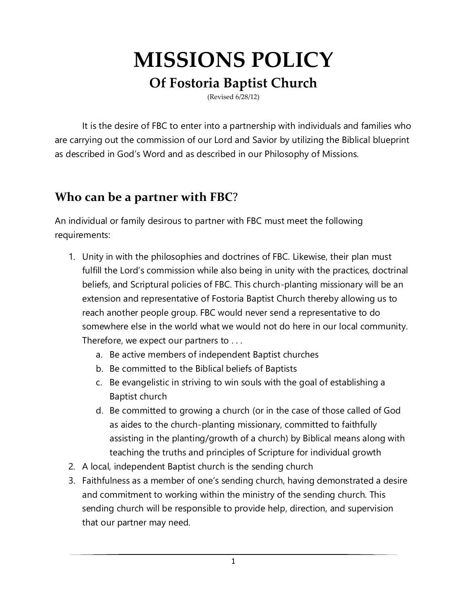# **MISSIONS POLICY**

### **Of Fostoria Baptist Church**

(Revised 6/28/12)

It is the desire of FBC to enter into a partnership with individuals and families who are carrying out the commission of our Lord and Savior by utilizing the Biblical blueprint as described in God's Word and as described in our Philosophy of Missions.

#### **Who can be a partner with FBC**?

An individual or family desirous to partner with FBC must meet the following requirements:

- 1. Unity in with the philosophies and doctrines of FBC. Likewise, their plan must fulfill the Lord's commission while also being in unity with the practices, doctrinal beliefs, and Scriptural policies of FBC. This church-planting missionary will be an extension and representative of Fostoria Baptist Church thereby allowing us to reach another people group. FBC would never send a representative to do somewhere else in the world what we would not do here in our local community. Therefore, we expect our partners to . . .
	- a. Be active members of independent Baptist churches
	- b. Be committed to the Biblical beliefs of Baptists
	- c. Be evangelistic in striving to win souls with the goal of establishing a Baptist church
	- d. Be committed to growing a church (or in the case of those called of God as aides to the church-planting missionary, committed to faithfully assisting in the planting/growth of a church) by Biblical means along with teaching the truths and principles of Scripture for individual growth
- 2. A local, independent Baptist church is the sending church
- 3. Faithfulness as a member of one's sending church, having demonstrated a desire and commitment to working within the ministry of the sending church. This sending church will be responsible to provide help, direction, and supervision that our partner may need.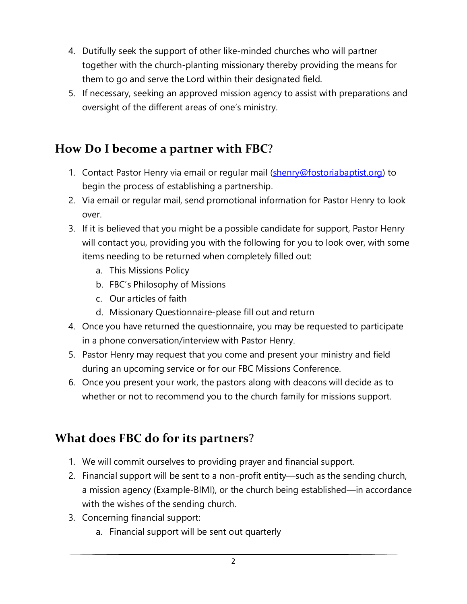- 4. Dutifully seek the support of other like-minded churches who will partner together with the church-planting missionary thereby providing the means for them to go and serve the Lord within their designated field.
- 5. If necessary, seeking an approved mission agency to assist with preparations and oversight of the different areas of one's ministry.

#### **How Do I become a partner with FBC**?

- 1. Contact Pastor Henry via email or regular mail [\(shenry@fostoriabaptist.org\)](mailto:shenry@fostoriabaptist.org) to begin the process of establishing a partnership.
- 2. Via email or regular mail, send promotional information for Pastor Henry to look over.
- 3. If it is believed that you might be a possible candidate for support, Pastor Henry will contact you, providing you with the following for you to look over, with some items needing to be returned when completely filled out:
	- a. This Missions Policy
	- b. FBC's Philosophy of Missions
	- c. Our articles of faith
	- d. Missionary Questionnaire-please fill out and return
- 4. Once you have returned the questionnaire, you may be requested to participate in a phone conversation/interview with Pastor Henry.
- 5. Pastor Henry may request that you come and present your ministry and field during an upcoming service or for our FBC Missions Conference.
- 6. Once you present your work, the pastors along with deacons will decide as to whether or not to recommend you to the church family for missions support.

## **What does FBC do for its partners**?

- 1. We will commit ourselves to providing prayer and financial support.
- 2. Financial support will be sent to a non-profit entity—such as the sending church, a mission agency (Example-BIMI), or the church being established—in accordance with the wishes of the sending church.
- 3. Concerning financial support:
	- a. Financial support will be sent out quarterly